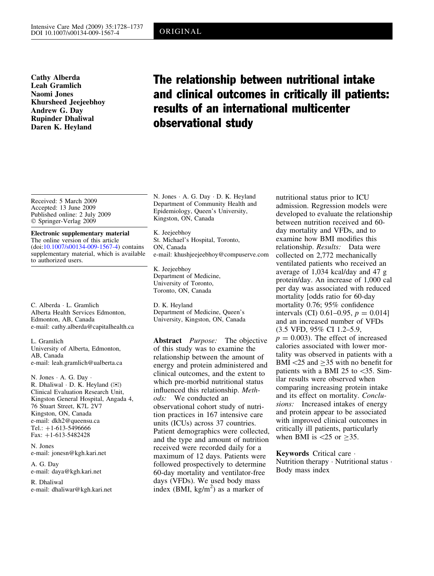Cathy Alberda Leah Gramlich Naomi Jones Khursheed Jeejeebhoy Andrew G. Day Rupinder Dhaliwal Daren K. Heyland

# The relationship between nutritional intake and clinical outcomes in critically ill patients: results of an international multicenter observational study

Received: 5 March 2009 Accepted: 13 June 2009 Published online: 2 July 2009 Springer-Verlag 2009

#### Electronic supplementary material The online version of this article (doi:[10.1007/s00134-009-1567-4\)](http://dx.doi.org/10.1007/s00134-009-1567-4) contains supplementary material, which is available to authorized users.

C. Alberda · L. Gramlich Alberta Health Services Edmonton, Edmonton, AB, Canada e-mail: cathy.alberda@capitalhealth.ca

L. Gramlich University of Alberta, Edmonton, AB, Canada e-mail: leah.gramlich@ualberta.ca

N. Jones  $\cdot$  A. G. Day  $\cdot$ R. Dhaliwal  $\cdot$  D. K. Heyland ( $\otimes$ ) Clinical Evaluation Research Unit, Kingston General Hospital, Angada 4, 76 Stuart Street, K7L 2V7 Kingston, ON, Canada e-mail: dkh2@queensu.ca Tel.:  $+1-613-5496666$ Fax:  $+1-613-5482428$ 

N. Jones e-mail: jonesn@kgh.kari.net

A. G. Day e-mail: daya@kgh.kari.net

R. Dhaliwal e-mail: dhaliwar@kgh.kari.net N. Jones · A. G. Day · D. K. Heyland Department of Community Health and Epidemiology, Queen's University, Kingston, ON, Canada

K. Jeejeebhoy St. Michael's Hospital, Toronto, ON, Canada e-mail: khushjeejeebhoy@compuserve.com

K. Jeejeebhoy Department of Medicine, University of Toronto, Toronto, ON, Canada

D. K. Heyland Department of Medicine, Queen's University, Kingston, ON, Canada

Abstract *Purpose*: The objective of this study was to examine the relationship between the amount of energy and protein administered and clinical outcomes, and the extent to which pre-morbid nutritional status influenced this relationship. Methods: We conducted an observational cohort study of nutrition practices in 167 intensive care units (ICUs) across 37 countries. Patient demographics were collected, and the type and amount of nutrition received were recorded daily for a maximum of 12 days. Patients were followed prospectively to determine 60-day mortality and ventilator-free days (VFDs). We used body mass index (BMI,  $\text{kg/m}^2$ ) as a marker of

nutritional status prior to ICU admission. Regression models were developed to evaluate the relationship between nutrition received and 60 day mortality and VFDs, and to examine how BMI modifies this relationship. Results: Data were collected on 2,772 mechanically ventilated patients who received an average of 1,034 kcal/day and 47 g protein/day. An increase of 1,000 cal per day was associated with reduced mortality [odds ratio for 60-day mortality 0.76; 95% confidence intervals (CI) 0.61–0.95,  $p = 0.014$ ] and an increased number of VFDs (3.5 VFD, 95% CI 1.2–5.9,  $p = 0.003$ . The effect of increased calories associated with lower mortality was observed in patients with a BMI $<$ 25 and  $>$ 35 with no benefit for patients with a BMI 25 to  $\leq$ 35. Similar results were observed when comparing increasing protein intake and its effect on mortality. Conclusions: Increased intakes of energy and protein appear to be associated with improved clinical outcomes in critically ill patients, particularly when BMI is  $\langle 25 \text{ or } \geq 35$ .

Keywords Critical care  $\cdot$ Nutrition therapy  $\cdot$  Nutritional status  $\cdot$ Body mass index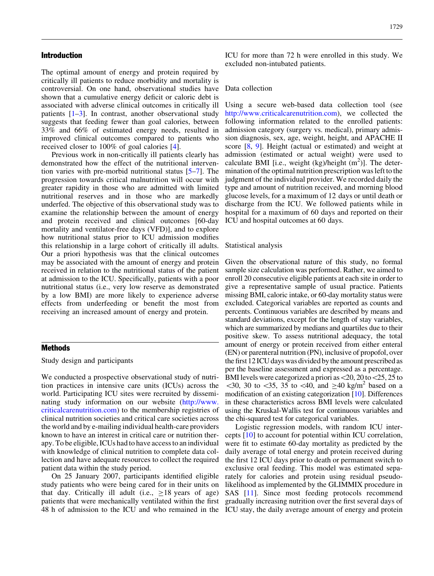### Introduction

The optimal amount of energy and protein required by critically ill patients to reduce morbidity and mortality is controversial. On one hand, observational studies have shown that a cumulative energy deficit or caloric debt is associated with adverse clinical outcomes in critically ill patients [[1–3\]](#page-8-0). In contrast, another observational study suggests that feeding fewer than goal calories, between 33% and 66% of estimated energy needs, resulted in improved clinical outcomes compared to patients who received closer to 100% of goal calories [\[4](#page-8-0)].

Previous work in non-critically ill patients clearly has demonstrated how the effect of the nutritional intervention varies with pre-morbid nutritional status [\[5–7](#page-8-0)]. The progression towards critical malnutrition will occur with greater rapidity in those who are admitted with limited nutritional reserves and in those who are markedly underfed. The objective of this observational study was to examine the relationship between the amount of energy and protein received and clinical outcomes [60-day mortality and ventilator-free days (VFD)], and to explore how nutritional status prior to ICU admission modifies this relationship in a large cohort of critically ill adults. Our a priori hypothesis was that the clinical outcomes may be associated with the amount of energy and protein received in relation to the nutritional status of the patient at admission to the ICU. Specifically, patients with a poor nutritional status (i.e., very low reserve as demonstrated by a low BMI) are more likely to experience adverse effects from underfeeding or benefit the most from receiving an increased amount of energy and protein.

#### Methods

Study design and participants

We conducted a prospective observational study of nutrition practices in intensive care units (ICUs) across the world. Participating ICU sites were recruited by disseminating study information on our website [\(http://www.](http://www.criticalcarenutrition.com) [criticalcarenutrition.com](http://www.criticalcarenutrition.com)) to the membership registries of clinical nutrition societies and critical care societies across the world and by e-mailing individual health-care providers known to have an interest in critical care or nutrition therapy. To be eligible, ICUs had to have access to an individual with knowledge of clinical nutrition to complete data collection and have adequate resources to collect the required patient data within the study period.

On 25 January 2007, participants identified eligible study patients who were being cared for in their units on that day. Critically ill adult (i.e.,  $\geq 18$  years of age) patients that were mechanically ventilated within the first 48 h of admission to the ICU and who remained in the ICU stay, the daily average amount of energy and protein

ICU for more than 72 h were enrolled in this study. We excluded non-intubated patients.

#### Data collection

Using a secure web-based data collection tool (see [http://www.criticalcarenutrition.com\)](http://www.criticalcarenutrition.com), we collected the following information related to the enrolled patients: admission category (surgery vs. medical), primary admission diagnosis, sex, age, weight, height, and APACHE II score [[8](#page-8-0), [9](#page-8-0)]. Height (actual or estimated) and weight at admission (estimated or actual weight) were used to calculate BMI [i.e., weight (kg)/height  $(m<sup>2</sup>)$ ]. The determination of the optimal nutrition prescription was left to the judgment of the individual provider. We recorded daily the type and amount of nutrition received, and morning blood glucose levels, for a maximum of 12 days or until death or discharge from the ICU. We followed patients while in hospital for a maximum of 60 days and reported on their ICU and hospital outcomes at 60 days.

#### Statistical analysis

Given the observational nature of this study, no formal sample size calculation was performed. Rather, we aimed to enroll 20 consecutive eligible patients at each site in order to give a representative sample of usual practice. Patients missing BMI, caloric intake, or 60-day mortality status were excluded. Categorical variables are reported as counts and percents. Continuous variables are described by means and standard deviations, except for the length of stay variables, which are summarized by medians and quartiles due to their positive skew. To assess nutritional adequacy, the total amount of energy or protein received from either enteral (EN) or parenteral nutrition (PN), inclusive of propofol, over the first 12 ICU days was divided by the amount prescribed as per the baseline assessment and expressed as a percentage. BMI levels were categorized a priori as  $\langle 20, 20 \text{ to } \langle 25, 25 \text{ to } \rangle$  $\leq$ 30, 30 to  $\leq$ 35, 35 to  $\leq$ 40, and  $\geq$ 40 kg/m<sup>2</sup> based on a modification of an existing categorization [\[10](#page-8-0)]. Differences in these characteristics across BMI levels were calculated using the Kruskal-Wallis test for continuous variables and the chi-squared test for categorical variables.

Logistic regression models, with random ICU intercepts [[10](#page-8-0)] to account for potential within ICU correlation, were fit to estimate 60-day mortality as predicted by the daily average of total energy and protein received during the first 12 ICU days prior to death or permanent switch to exclusive oral feeding. This model was estimated separately for calories and protein using residual pseudolikelihood as implemented by the GLIMMIX procedure in SAS [\[11\]](#page-8-0). Since most feeding protocols recommend gradually increasing nutrition over the first several days of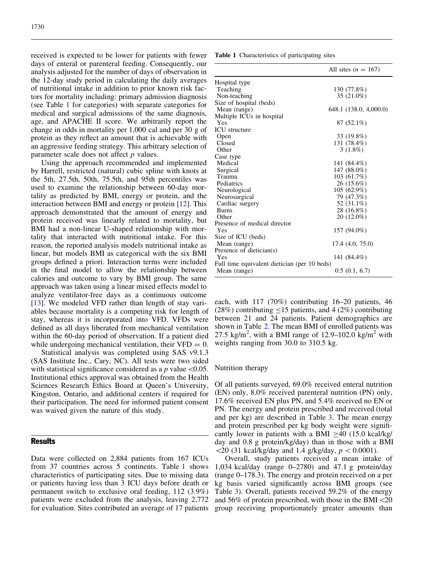received is expected to be lower for patients with fewer days of enteral or parenteral feeding. Consequently, our analysis adjusted for the number of days of observation in the 12-day study period in calculating the daily averages of nutritional intake in addition to prior known risk factors for mortality including: primary admission diagnosis (see Table 1 for categories) with separate categories for medical and surgical admissions of the same diagnosis, age, and APACHE II score. We arbitrarily report the change in odds in mortality per 1,000 cal and per 30 g of protein as they reflect an amount that is achievable with an aggressive feeding strategy. This arbitrary selection of parameter scale does not affect *p* values.

Using the approach recommended and implemented by Harrell, restricted (natural) cubic spline with knots at the 5th, 27.5th, 50th, 75.5th, and 95th percentiles was used to examine the relationship between 60-day mortality as predicted by BMI, energy or protein, and the interaction between BMI and energy or protein [\[12\]](#page-8-0). This approach demonstrated that the amount of energy and protein received was linearly related to mortality, but BMI had a non-linear U-shaped relationship with mortality that interacted with nutritional intake. For this reason, the reported analysis models nutritional intake as linear, but models BMI as categorical with the six BMI groups defined a priori. Interaction terms were included in the final model to allow the relationship between calories and outcome to vary by BMI group. The same approach was taken using a linear mixed effects model to analyze ventilator-free days as a continuous outcome [\[13](#page-8-0)]. We modeled VFD rather than length of stay variables because mortality is a competing risk for length of stay, whereas it is incorporated into VFD. VFDs were defined as all days liberated from mechanical ventilation within the 60-day period of observation. If a patient died while undergoing mechanical ventilation, their  $VFD = 0$ .

Statistical analysis was completed using SAS v9.1.3 (SAS Institute Inc., Cary, NC). All tests were two sided with statistical significance considered as a  $p$  value  $\leq 0.05$ . Institutional ethics approval was obtained from the Health Sciences Research Ethics Board at Queen's University, Kingston, Ontario, and additional centers if required for their participation. The need for informed patient consent was waived given the nature of this study.

# **Results**

Data were collected on 2,884 patients from 167 ICUs from 37 countries across 5 continents. Table 1 shows characteristics of participating sites. Due to missing data or patients having less than 3 ICU days before death or permanent switch to exclusive oral feeding, 112 (3.9%) patients were excluded from the analysis, leaving 2,772 for evaluation. Sites contributed an average of 17 patients

Table 1 Characteristics of participating sites

|                                              | All sites $(n = 167)$  |
|----------------------------------------------|------------------------|
| Hospital type                                |                        |
| Teaching                                     | 130 (77.8%)            |
| Non-teaching                                 | 35 (21.0%)             |
| Size of hospital (beds)                      |                        |
| Mean (range)                                 | 648.1 (138.0, 4,000.0) |
| Multiple ICUs in hospital                    |                        |
| Yes                                          | $87(52.1\%)$           |
| <b>ICU</b> structure                         |                        |
| Open                                         | 33 (19.8%)             |
| Closed                                       | 131 (78.4%)            |
| Other                                        | $3(1.8\%)$             |
| Case type                                    |                        |
| Medical                                      | 141 (84.4%)            |
| Surgical                                     | 147 (88.0%)            |
| Trauma                                       | 103 (61.7%)            |
| Pediatrics                                   | 26 (15.6%)             |
| Neurological                                 | $105(62.9\%)$          |
| Neurosurgical                                | 79 (47.3%)             |
| Cardiac surgery                              | 52 (31.1%)             |
| <b>Burns</b>                                 | 28 (16.8%)             |
| Other                                        | 20 (12.0%)             |
| Presence of medical director                 |                        |
| Yes                                          | 157 (94.0%)            |
| Size of ICU (beds)                           |                        |
| Mean (range)                                 | 17.4(4.0, 75.0)        |
| Presence of dietician(s)                     |                        |
| Yes                                          | 141 (84.4%)            |
| Full time equivalent dietician (per 10 beds) |                        |
| Mean (range)                                 | 0.5(0.1, 6.7)          |

each, with 117 (70%) contributing 16–20 patients, 46 (28%) contributing  $\leq$ 15 patients, and 4 (2%) contributing between 21 and 24 patients. Patient demographics are shown in Table [2.](#page-3-0) The mean BMI of enrolled patients was 27.5 kg/m<sup>2</sup>, with a BMI range of 12.9–102.0 kg/m<sup>2</sup> with weights ranging from 30.0 to 310.5 kg.

#### Nutrition therapy

Of all patients surveyed, 69.0% received enteral nutrition (EN) only, 8.0% received parenteral nutrition (PN) only, 17.6% received EN plus PN, and 5.4% received no EN or PN. The energy and protein prescribed and received (total and per kg) are described in Table [3.](#page-4-0) The mean energy and protein prescribed per kg body weight were significantly lower in patients with a BMI  $>40$  (15.0 kcal/kg/ day and 0.8 g protein/kg/day) than in those with a BMI  $\langle 20 (31 \text{ kcal/kg/day} \text{ and } 1.4 \text{ g/kg/day}, p \langle 0.0001 \rangle.$ 

Overall, study patients received a mean intake of 1,034 kcal/day (range 0–2780) and 47.1 g protein/day (range 0–178.3). The energy and protein received on a per kg basis varied significantly across BMI groups (see Table [3](#page-4-0)). Overall, patients received 59.2% of the energy and  $56\%$  of protein prescribed, with those in the BMI $\leq$ 20 group receiving proportionately greater amounts than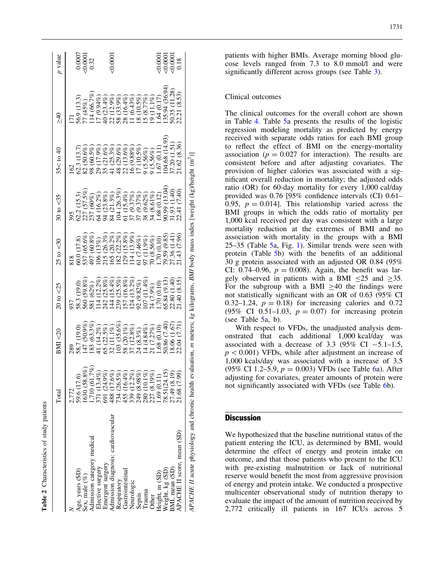<span id="page-3-0"></span>

|                                                                   | Total                                                                                                                                                                                                  | BMI < 20                                                                        | $20 \text{ to } <25$                                                                                                                                                                                                                                                       | $25 \text{ to } 30$                      | $30 \text{ to } <35$                                                                                                                                                                                                                                                                                             | $35 <$ to 40                                                                                                                                                                           | $\frac{1}{2}$                                                 | $p$ value                         |
|-------------------------------------------------------------------|--------------------------------------------------------------------------------------------------------------------------------------------------------------------------------------------------------|---------------------------------------------------------------------------------|----------------------------------------------------------------------------------------------------------------------------------------------------------------------------------------------------------------------------------------------------------------------------|------------------------------------------|------------------------------------------------------------------------------------------------------------------------------------------------------------------------------------------------------------------------------------------------------------------------------------------------------------------|----------------------------------------------------------------------------------------------------------------------------------------------------------------------------------------|---------------------------------------------------------------|-----------------------------------|
|                                                                   |                                                                                                                                                                                                        |                                                                                 |                                                                                                                                                                                                                                                                            |                                          |                                                                                                                                                                                                                                                                                                                  |                                                                                                                                                                                        |                                                               |                                   |
|                                                                   | 2.772                                                                                                                                                                                                  |                                                                                 |                                                                                                                                                                                                                                                                            |                                          |                                                                                                                                                                                                                                                                                                                  | 162                                                                                                                                                                                    |                                                               |                                   |
|                                                                   | 59.6 (17.6)                                                                                                                                                                                            |                                                                                 | $\begin{array}{l} 937\\ 38.3 \; (19.0)\\ 58.3 \; (62\%)\\ 580 \; (59.8\%)\\ 581 \; (62\%)\\ 114 \; (12.2\%)\\ 124 \; (15.4\%)\\ 153 \; (15.3\%)\\ 153 \; (13.2\%)\\ 152 \; (13.2\%)\\ 152 \; (13.2\%)\\ 152 \; (13.2\%)\\ 107 \; (11.4\%)\\ 107 \; (11.4\%)\\ \end{array}$ |                                          | $\begin{array}{l} 395 \\ 395 \\ 62.2 \ (15.3) \\ 62.7 \ (57.5\%) \\ 62.8 \ (50\%) \\ 72.7 \ (60\%) \\ 84.2 \ (33.8\%) \\ 104.2 \ (53.8\%) \\ 124.2 \ (53.8\%) \\ 135.2 \ (53.8\%) \\ 142.2 \ (53.8\%) \\ 155.2 \ (53.8\%) \\ 162.2 \ (53.8\%) \\ 175.2 \ (53.8\%) \\ 185.2 \ (53.8\%) \\ 195.2 \ (53.8\%) \\ 19$ |                                                                                                                                                                                        | 56.9 (13.3)                                                   |                                   |
| Age, years (SD)<br>Sex, male $(\%)$<br>Admission category medical | 1630 (58.8)                                                                                                                                                                                            | 58.7 (19.0)<br>147 (50.9%)<br>183 (63.3%)                                       |                                                                                                                                                                                                                                                                            |                                          |                                                                                                                                                                                                                                                                                                                  | $\begin{array}{l} 62.3 \ (13.7) \\ 62.6\ (66.6\%) \\ 82 \ (60.5\%) \\ 98 \ (60.5\%) \\ 21 \ (12.6\%) \\ 17 \ (25.3\%) \\ 18 \ (25.3\%) \\ 19 \ (25.3\%) \\ 13 \ (26\%) \\ \end{array}$ |                                                               | $0.0007$<br>$0.0001$<br>$0.32$    |
|                                                                   | $1630(58.8%)$<br>$1,710(61.7%)$                                                                                                                                                                        |                                                                                 |                                                                                                                                                                                                                                                                            |                                          |                                                                                                                                                                                                                                                                                                                  |                                                                                                                                                                                        | $77(45%)$<br>114 (66.7%)                                      |                                   |
| Elective surgery                                                  |                                                                                                                                                                                                        | 14.2%                                                                           |                                                                                                                                                                                                                                                                            |                                          |                                                                                                                                                                                                                                                                                                                  |                                                                                                                                                                                        | $(2.94\%)$                                                    |                                   |
| Emergent surgery                                                  |                                                                                                                                                                                                        |                                                                                 |                                                                                                                                                                                                                                                                            |                                          |                                                                                                                                                                                                                                                                                                                  |                                                                                                                                                                                        | (23.4%                                                        |                                   |
| Admission diagnosis: cardiovascular                               | $\begin{array}{l} 371 \; (13.4\%) \\ 571 \; (24.9\%) \\ 691 \; (24.9\%) \\ 488 \; (17.6\%) \\ 734 \; (26.5\%) \\ 734 \; (26.3\%) \\ 339 \; (30.9\%) \\ 230 \; (10.1\%) \\ 230 \; (11.9\%) \end{array}$ | $\begin{array}{c} 65 \ (22.5\%) \\ 32 \ (11.1\%) \\ 103 \ (35.6\%) \end{array}$ |                                                                                                                                                                                                                                                                            |                                          |                                                                                                                                                                                                                                                                                                                  |                                                                                                                                                                                        |                                                               | 0.0001                            |
| Respiratory                                                       |                                                                                                                                                                                                        |                                                                                 |                                                                                                                                                                                                                                                                            |                                          |                                                                                                                                                                                                                                                                                                                  |                                                                                                                                                                                        | $(12.9\%)$<br>$(33.9\%)$<br>$(16.4\%)$<br>$\frac{288}{288}$   |                                   |
| Gastrointestinal                                                  |                                                                                                                                                                                                        | $20.1\%)$                                                                       |                                                                                                                                                                                                                                                                            |                                          |                                                                                                                                                                                                                                                                                                                  |                                                                                                                                                                                        |                                                               |                                   |
| Neurologic                                                        |                                                                                                                                                                                                        | $12.8\%$<br>_<br>ಜನಸ                                                            |                                                                                                                                                                                                                                                                            |                                          |                                                                                                                                                                                                                                                                                                                  | $\begin{array}{c} 48 \ (29.6\%) \\ 22 \ (13.6\%) \\ 16 \ (9.88\%) \end{array}$                                                                                                         | (6.43%)                                                       |                                   |
| Sepsis                                                            |                                                                                                                                                                                                        | (8.3%)                                                                          |                                                                                                                                                                                                                                                                            |                                          |                                                                                                                                                                                                                                                                                                                  | (7(10.5%)                                                                                                                                                                              |                                                               |                                   |
| Fauma                                                             |                                                                                                                                                                                                        | (4.84%)                                                                         |                                                                                                                                                                                                                                                                            | $61$ (7.46%)<br>97 (11.9%)<br>70 (8.56%) |                                                                                                                                                                                                                                                                                                                  | $(5.56\%)$                                                                                                                                                                             | $\begin{array}{c} 18 \ (10.5\%) \\ 15 \ (8.77\%) \end{array}$ |                                   |
| Other                                                             |                                                                                                                                                                                                        | $\overline{21}$                                                                 | 14(7.9%)                                                                                                                                                                                                                                                                   |                                          |                                                                                                                                                                                                                                                                                                                  | $(5.56\%)$                                                                                                                                                                             | 19(1)                                                         |                                   |
| Height, m (SD)                                                    | 1.69(0.11)                                                                                                                                                                                             | .68(                                                                            |                                                                                                                                                                                                                                                                            | .70(0.10)                                | .68(0.12)                                                                                                                                                                                                                                                                                                        | .67(0.1                                                                                                                                                                                | .64(0.17)                                                     |                                   |
| Weight, kg (SD)                                                   |                                                                                                                                                                                                        | (7.40)<br>50.86                                                                 | 5.84 (9.13)                                                                                                                                                                                                                                                                | $(6.8)$ $(6.8)$                          | (13.04<br>(6.00)                                                                                                                                                                                                                                                                                                 | 04.68 (14.93)                                                                                                                                                                          |                                                               |                                   |
| BMI, mean (SD)                                                    | 78.51(24.15)<br>27.49 (8.19)                                                                                                                                                                           | 1.67<br>18.06                                                                   | 2.80(1.40)                                                                                                                                                                                                                                                                 | $\frac{141}{2}$<br>27.36(                | (1.40)<br>(1.93)                                                                                                                                                                                                                                                                                                 | (1.51)<br>37.20(                                                                                                                                                                       | 135.94 (36.94)<br>50.35 (11.28)                               | 10000<br>100000<br>100000<br>1000 |
| APACHE II score, mean (SD)                                        | 21.68 (7.99                                                                                                                                                                                            | (7.71)<br>2.04                                                                  | 1.40(8.15)                                                                                                                                                                                                                                                                 | (7.96)                                   | 2.41(7.40)                                                                                                                                                                                                                                                                                                       | .1.62(8.36)                                                                                                                                                                            | 22.21 (8.53)                                                  |                                   |
| APACHE II acute physiology and chronic health ex-                 |                                                                                                                                                                                                        |                                                                                 |                                                                                                                                                                                                                                                                            |                                          | valuation, m meters; $k_g$ kilograms, BMI body mass index [weight (kg)/height (m <sup>2</sup> )]                                                                                                                                                                                                                 |                                                                                                                                                                                        |                                                               |                                   |

Table 2 Characteristics of study patients

Characteristics of study patients

patients with higher BMIs. Average morning blood glucose levels ranged from 7.3 to 8.0 mmol/l and were significantly different across groups (see Table [3\)](#page-4-0).

## Clinical outcomes

The clinical outcomes for the overall cohort are shown in Table [4](#page-5-0). Table [5](#page-6-0)a presents the results of the logistic regression modeling mortality as predicted by energy received with separate odds ratios for each BMI group to reflect the effect of BMI on the energy-mortality association ( $p = 0.027$  for interaction). The results are consistent before and after adjusting covariates. The provision of higher calories was associated with a significant overall reduction in mortality; the adjusted odds ratio (OR) for 60-day mortality for every 1,000 cal/day provided was 0.76 [95% confidence intervals (CI) 0.61– 0.95,  $p = 0.014$ . This relationship varied across the BMI groups in which the odds ratio of mortality per 1,000 kcal received per day was consistent with a large mortality reduction at the extremes of BMI and no association with mortality in the groups with a BMI 25–35 (Table [5](#page-6-0)a, Fig. [1](#page-6-0)). Similar trends were seen with protein (Table [5](#page-6-0)b) with the benefits of an additional 30 g protein associated with an adjusted OR 0.84 (95% CI: 0.74–0.96,  $p = 0.008$ ). Again, the benefit was largely observed in patients with a BMI  $\leq 25$  and  $\geq 35$ . For the subgroup with a BMI  $\geq$ 40 the findings were not statistically significant with an OR of 0.63 (95% CI 0.32–1.24,  $p = 0.18$ ) for increasing calories and 0.72 (95% CI 0.51–1.03,  $p = 0.07$ ) for increasing protein (see Table [5](#page-6-0)a, b).

With respect to VFDs, the unadjusted analysis demonstrated that each additional 1,000 kcal/day was associated with a decrease of 3.3 (95% CI  $-5.1-1.5$ ,  $p<0.001$ ) VFDs, while after adjustment an increase of 1,000 kcals/day was associated with a increase of 3.5 (95% CI 1.2–5.9,  $p = 0.003$ ) VFDs (see Table [6a](#page-7-0)). After adjusting for covariates, greater amounts of protein were not significantly associated with VFDs (see Table [6](#page-7-0)b).

# **Discussion**

We hypothesized that the baseline nutritional status of the patient entering the ICU, as determined by BMI, would determine the effect of energy and protein intake on outcome, and that those patients who present to the ICU with pre-existing malnutrition or lack of nutritional reserve would benefit the most from aggressive provision of energy and protein intake. We conducted a prospective multicenter observational study of nutrition therapy to evaluate the impact of the amount of nutrition received by 2,772 critically ill patients in 167 ICUs across 5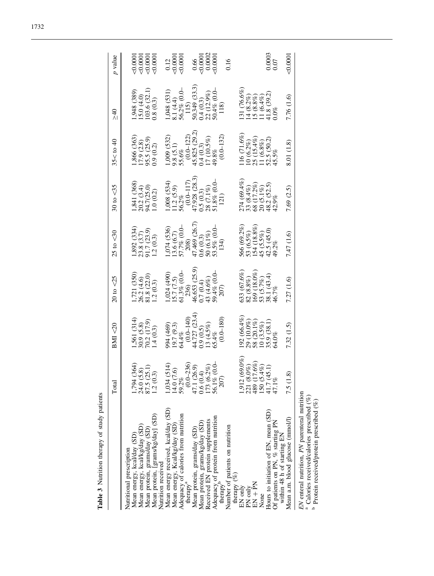|                                                                                                                                                                                                                                                                                                                                                                                                                                                                                                                  | Total                                                                                                                                                                       | BM < 20                                                                                                                                                                         | $20 \text{ to } 25$                                                                                                                                                                                             | $25 \text{ to } 30$                                                                                                                                                                                                   | $30 \text{ to } <35$                                                                                                                                                                                                | $35 <$ to $40$                                                                                                                                                               | $\frac{1}{2}$                                                                                                                                                                                                                             | p value                                                                                                                                                                                                                                                                |
|------------------------------------------------------------------------------------------------------------------------------------------------------------------------------------------------------------------------------------------------------------------------------------------------------------------------------------------------------------------------------------------------------------------------------------------------------------------------------------------------------------------|-----------------------------------------------------------------------------------------------------------------------------------------------------------------------------|---------------------------------------------------------------------------------------------------------------------------------------------------------------------------------|-----------------------------------------------------------------------------------------------------------------------------------------------------------------------------------------------------------------|-----------------------------------------------------------------------------------------------------------------------------------------------------------------------------------------------------------------------|---------------------------------------------------------------------------------------------------------------------------------------------------------------------------------------------------------------------|------------------------------------------------------------------------------------------------------------------------------------------------------------------------------|-------------------------------------------------------------------------------------------------------------------------------------------------------------------------------------------------------------------------------------------|------------------------------------------------------------------------------------------------------------------------------------------------------------------------------------------------------------------------------------------------------------------------|
| Mean energy received, kcal/day (SD)<br>Adequacy of calories from nutrition<br>Mean protein, [grams/kg/day] (SD)<br>Adequacy of protein from nutrition therapy<br>Received EN protein supplements<br>Mean protein, grams/kg/day (SD)<br>Mean energy, kcal/kg/day (SD)<br>Mean energy, Kcal/kg/day (SD)<br>Number of patients on nutrition<br>Mean protein, grams/day (SD)<br>Mean protein, grams/day (SD)<br>Mean energy, kcal/day (SD)<br>Nutritional prescription<br>Nutrition received<br>therapy <sup>a</sup> | $(0.0-236)$<br>47.1 (26.9)<br>0.6 (0.4)<br>1,794 (364)<br>24.0 (5.8)<br>87.5 (25.1)<br>1.2 (0.3)<br>1,034 (514)<br>14.0 (7.6)<br>59.2%<br>173 (6.2%)<br>56.1% (0.0-<br>207) | $44.727(23.4)$<br>0.9 (0.5)<br>13 (4.5%)<br>$(0.0 - 180)$<br>$(0.0 - 140)$<br>1,561 (314)<br>30.9 (5.8)<br>70.2 (17.9)<br>994 (469)<br>19.7 (9.3)<br>1.4(0.3)<br>64.4%<br>65.4% | 46.653 (25.9)<br>1,024 (490)<br>15.7 (7.5)<br>61.3% (0.0-<br>236)<br>0.7 (0.4)<br>43 (4.6%)<br>59.4% (0.0-<br>1,721(350)<br>$\begin{array}{c} 26.2 & (4.6) \\ 81.8 & (22.0) \\ 1.2 & (0.3) \end{array}$<br>207) | 47.469 (26.7)<br>1,074 (536)<br>13.6 (6.7)<br>57.7% (0.0-<br>208)<br>$1,892$ (334)<br>$\begin{array}{c} 0.6 \ (0.3) \\ 50 \ (6.1\%) \\ 53.5\% \ (0.0-\\ \end{array}$<br>23.8 (3.7)<br>91.7 (23.9)<br>1.2(0.3)<br>134) | $47.928$ $(28.3)$<br>0.5 $(0.3)$<br>$\begin{array}{c} 28 \ (7.1\%) \\ 51.8\% \ (0.0- \end{array}$<br>$(0.0 - 117)$<br>(534)<br>,841(368)<br>$20.2 (3.4)$<br>94.7(25.0)<br>1.0 (0.2)<br>$11.2(5.9)$<br>56.2%<br>121) | 45.825 (29.2)<br>$(0.0 - 132)$<br>$(0.0 - 122)$<br>(532)<br>,866 (363)<br>17 (10.5%)<br>95.5 (25.9)<br>(7.9 (2.8)<br>0.9(0.2)<br>$9.8(5.1)$<br>55.6%<br>0.4(0.3)<br>$49.8\%$ | $50.349(33.3)$<br>$0.4(0.3)$<br>$\begin{array}{c} 1,048~(531)\\ 8.1~(4.4)\\ 56.2\%~(0.0-\\ 115) \end{array}$<br>$\begin{array}{c} 1,948~(389)\\ 15.0~(4.0)\\ 103.6~(32.1)\\ 0.8~(0.3) \end{array}$<br>$22(12.9\%)$<br>50.4% (0.0-<br>118) | $\begin{array}{c} 0.66 \\ \hline 0.0001 \\ 0.0002 \\ \hline 0.0002 \end{array}$<br>$\begin{array}{c} 0.12 \\ \text{\small c} 0.0001 \\ \text{\small c} 0.0001 \end{array}$<br>$\begin{array}{c} 0.0001 \\ 0.0001 \\ 0.0001 \\ 0.0001 \\ 0.0001 \\ \end{array}$<br>0.16 |
| Hours to initiation of EN, mean (SD)<br>Of patients on PN, $%$ starting PN within 48 h of starting EN<br>therapy $(\%)$<br>$EN + PN$<br>EN only<br>PN only<br>None                                                                                                                                                                                                                                                                                                                                               | $(69.0\%)$<br>$17.6\%$<br>$\begin{array}{c} 221 (8.0\%) \\ 489 (17.6\%) \\ 150 (5.4\%) \\ 41.7 (45.1) \end{array}$<br>7.5 (1.8)<br>1,912<br>47.1%                           | $192(66.4\%)$<br>$\begin{array}{c} 29 \ (10.0\%) \\ 58 \ (20.1\%) \\ 10 \ (3.5\%) \\ 35.9 \ (38.1) \end{array}$<br>64.0%                                                        | $\begin{array}{l} 633\ (67.6\%) \\ 82\ (8.8\%) \\ 169\ (18.0\%) \\ 53\ (5.7\%) \\ 38.1\ (43.4) \\ 46.7\% \end{array}$<br>7.27(1.6)                                                                              | $\begin{array}{l} 566\ (69.2\%) \\ 53\ (6.5\%) \\ 154\ (18.8\%) \\ 45\ (5.5\%) \\ 42.5\ (45.0) \\ 49.2\% \end{array}$<br>7.47 (1.6)                                                                                   | $\begin{array}{l} 274\ (69.4\%) \\ 33\ (8.4\%) \\ 68\ (17.2\%) \\ 20\ (5.1\%) \\ 20\ (5.1\%) \\ 48.2\ (52.5) \\ 42.9\% \end{array}$<br>7.69 (2.5)                                                                   | $(16(71.6\%)$<br>$\begin{array}{c} 10\ (6.2\%) \\ 25\ (15.4\%) \\ 11\ (6.8\%) \\ 52.5\ (50.2) \end{array}$<br>8.01 (1.8)<br>45.5%                                            | $131(76.6\%)$<br>$\frac{41.8}{0.0\%}$ (39.2)<br>$\frac{14}{15}\frac{(8.2\%)}{(8.8\%)}$<br>$11(6.4\%)$<br>7.76 (1.6)                                                                                                                       | 0.0003<br>0.0001<br>0.07                                                                                                                                                                                                                                               |
| EN enteral nutrition, PN parenteral nutrition<br><sup>a</sup> Calories received/calories prescribed (%)<br>Protein received/protein prescribed (%)<br>Mean a.m. blood glucose (mmol/l)                                                                                                                                                                                                                                                                                                                           |                                                                                                                                                                             | 7.32(1.5)                                                                                                                                                                       |                                                                                                                                                                                                                 |                                                                                                                                                                                                                       |                                                                                                                                                                                                                     |                                                                                                                                                                              |                                                                                                                                                                                                                                           |                                                                                                                                                                                                                                                                        |

Table 3 Nutrition therapy of study patients

Table 3 Nutrition therapy of study patients

<span id="page-4-0"></span>1732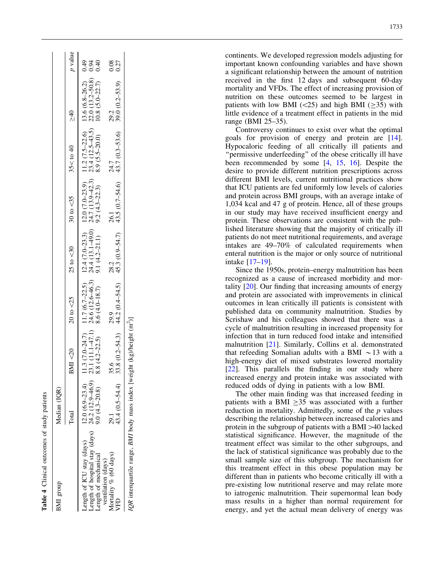<span id="page-5-0"></span>

|                                                                                                         | Median (IQR)     |          |                                    |                                                                                                                                                                                                                                     |              |               |                |
|---------------------------------------------------------------------------------------------------------|------------------|----------|------------------------------------|-------------------------------------------------------------------------------------------------------------------------------------------------------------------------------------------------------------------------------------|--------------|---------------|----------------|
| BMI group                                                                                               |                  |          |                                    |                                                                                                                                                                                                                                     |              |               |                |
|                                                                                                         | Total            | BMI < 20 | $20 \text{ to } < 25$ 25 to $< 30$ | $30 \text{ to } <35$                                                                                                                                                                                                                | $35 <$ to 40 | $\frac{1}{2}$ | <i>p</i> value |
| Length of ICU stay (days)                                                                               | $12.0(6.9-23.4)$ |          |                                    |                                                                                                                                                                                                                                     |              |               |                |
|                                                                                                         |                  |          |                                    | 11.3 (7.0–24.7) 11.7 (6.7–22.5) 12.4 (7.0–23.3) 12.0 (7.0–23.9) 11.2 (7.5–22.6) 13.6 (6.8–26.2) 0.49<br>23.1 (11.1–47.1) 24.6 (12.6–46.3) 24.4 (13.1–49.0) 24.7 (13.9–42.3) 23.4 (12.5–43.5) 22.0 (13.2–50.8) 0.94<br>8.8 (4.2–22.5 |              |               |                |
| 21 and the value of the state $(12.9-46.9)$<br>24.2 (12.9–46.9)<br>3.0 (4.3–20.8)<br>ventilation (days) |                  |          |                                    |                                                                                                                                                                                                                                     |              |               |                |
| Mortality % (60 days)                                                                                   | 29.1             |          |                                    |                                                                                                                                                                                                                                     |              |               |                |
| <b>THD</b>                                                                                              | 43.4 (0.5-54.4)  |          |                                    | 35.6 $29.2$<br>33.8 $(0.2-54.3)$ 44.2 $(0.4-54.5)$ 45.3 $(0.9-54.7)$ 43.5 $(0.7-54.6)$ 43.7 $(0.3-53.6)$ 39.0 $(0.2-53.9)$ 0.27                                                                                                     |              |               |                |

continents. We developed regression models adjusting for important known confounding variables and have shown a significant relationship between the amount of nutrition received in the first 12 days and subsequent 60-day mortality and VFDs. The effect of increasing provision of nutrition on these outcomes seemed to be largest in patients with low BMI  $(\leq 25)$  and high BMI  $(\geq 35)$  with little evidence of a treatment effect in patients in the mid range (BMI 25–35).

Controversy continues to exist over what the optimal goals for provision of energy and protein are [\[14\]](#page-8-0). Hypocaloric feeding of all critically ill patients and "permissive underfeeding" of the obese critically ill have been recommended by some [[4](#page-8-0), [15](#page-8-0), [16](#page-8-0)]. Despite the desire to provide different nutrition prescriptions across different BMI levels, current nutritional practices show that ICU patients are fed uniformly low levels of calories and protein across BMI groups, with an average intake of 1,034 kcal and 47 g of protein. Hence, all of these groups in our study may have received insufficient energy and protein. These observations are consistent with the published literature showing that the majority of critically ill patients do not meet nutritional requirements, and average intakes are 49–70% of calculated requirements when enteral nutrition is the major or only source of nutritional intake [[17](#page-8-0) –[19](#page-8-0)].

Since the 1950s, protein–energy malnutrition has been recognized as a cause of increased morbidity and mortality [\[20\]](#page-8-0). Our finding that increasing amounts of energy and protein are associated with improvements in clinical outcomes in lean critically ill patients is consistent with published data on community malnutrition. Studies by Scrishaw and his colleagues showed that there was a cycle of malnutrition resulting in increased propensity for infection that in turn reduced food intake and intensified malnutrition [[21](#page-8-0)]. Similarly, Collins et al. demonstrated that refeeding Somalian adults with a BMI  $\sim$  13 with a high-energy diet of mixed substrates lowered mortality [[22](#page-8-0)]. This parallels the finding in our study where increased energy and protein intake was associated with reduced odds of dying in patients with a low BMI.

The other main finding was that increased feeding in patients with a BMI  $\geq$ 35 was associated with a further reduction in mortality. Admittedly, some of the  $p$  values describing the relationship between increased calories and protein in the subgroup of patients with a BMI >40 lacked statistical significance. However, the magnitude of the treatment effect was similar to the other subgroups, and the lack of statistical significance was probably due to the small sample size of this subgroup. The mechanism for this treatment effect in this obese population may be different than in patients who become critically ill with a pre-existing low nutritional reserve and may relate more to iatrogenic malnutrition. Their supernormal lean body mass results in a higher than normal requirement for energy, and yet the actual mean delivery of energy was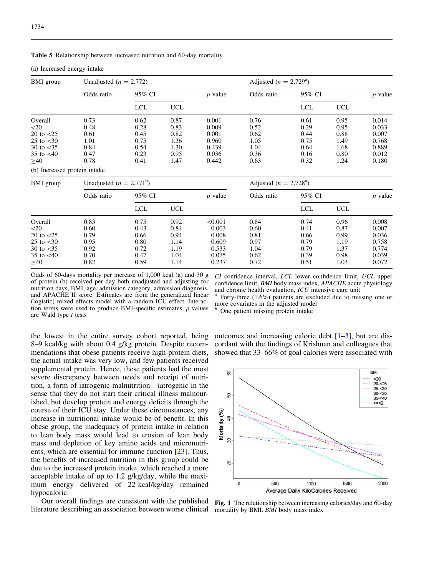<span id="page-6-0"></span>

|  | <b>Table 5</b> Relationship between increased nutrition and 60-day mortality |  |  |  |  |  |  |
|--|------------------------------------------------------------------------------|--|--|--|--|--|--|
|--|------------------------------------------------------------------------------|--|--|--|--|--|--|

| (a) Increased energy intake  |                              |            |            |           |                                  |            |            |                |
|------------------------------|------------------------------|------------|------------|-----------|----------------------------------|------------|------------|----------------|
| BMI group                    | Unadjusted ( $n = 2,772$ )   |            |            |           | Adjusted ( $n = 2,729^{\circ}$ ) |            |            |                |
|                              | Odds ratio                   | 95% CI     |            | $p$ value | Odds ratio                       | 95% CI     |            | <i>p</i> value |
|                              |                              | <b>LCL</b> | <b>UCL</b> |           |                                  | <b>LCL</b> | <b>UCL</b> |                |
| Overall                      | 0.73                         | 0.62       | 0.87       | 0.001     | 0.76                             | 0.61       | 0.95       | 0.014          |
| $<$ 20                       | 0.48                         | 0.28       | 0.83       | 0.009     | 0.52                             | 0.29       | 0.95       | 0.033          |
| 20 to $<$ 25                 | 0.61                         | 0.45       | 0.82       | 0.001     | 0.62                             | 0.44       | 0.88       | 0.007          |
| 25 to $\leq 30$              | 1.01                         | 0.75       | 1.36       | 0.960     | 1.05                             | 0.75       | 1.49       | 0.768          |
| 30 to $<$ 35                 | 0.84                         | 0.54       | 1.30       | 0.439     | 1.04                             | 0.64       | 1.68       | 0.889          |
| 35 to $<40$                  | 0.47                         | 0.23       | 0.95       | 0.036     | 0.36                             | 0.16       | 0.80       | 0.012          |
| $\geq 40$                    | 0.78                         | 0.41       | 1.47       | 0.442     | 0.63                             | 0.32       | 1.24       | 0.180          |
| (b) Increased protein intake |                              |            |            |           |                                  |            |            |                |
| <b>BMI</b> group             | Unadjusted ( $n = 2,771^b$ ) |            |            |           | Adjusted ( $n = 2,728^{\circ}$ ) |            |            |                |
|                              | Odds ratio                   | 95% CI     |            | $p$ value | Odds ratio                       | 95% CI     |            | $p$ value      |
|                              |                              | <b>LCL</b> | <b>UCL</b> |           |                                  | <b>LCL</b> | <b>UCL</b> |                |
| Overall                      | 0.83                         | 0.75       | 0.92       | < 0.001   | 0.84                             | 0.74       | 0.96       | 0.008          |
| $<$ 20                       | 0.60                         | 0.43       | 0.84       | 0.003     | 0.60                             | 0.41       | 0.87       | 0.007          |
| 20 to $\langle 25$           | 0.79                         | 0.66       | 0.94       | 0.008     | 0.81                             | 0.66       | 0.99       | 0.036          |
| 25 to $<$ 30                 | 0.95                         | 0.80       | 1.14       | 0.609     | 0.97                             | 0.79       | 1.19       | 0.758          |
| 30 to $<$ 35                 | 0.92                         | 0.72       | 1.19       | 0.533     | 1.04                             | 0.79       | 1.37       | 0.774          |
| 35 to $<40$                  | 0.70                         | 0.47       | 1.04       | 0.075     | 0.62                             | 0.39       | 0.98       | 0.039          |
| $\geq 40$                    | 0.82                         | 0.59       | 1.14       | 0.237     | 0.72                             | 0.51       | 1.03       | 0.072          |
|                              |                              |            |            |           |                                  |            |            |                |

Odds of 60-days mortality per increase of 1,000 kcal (a) and 30 g of protein (b) received per day both unadjusted and adjusting for nutrition days, BMI, age, admission category, admission diagnosis, and APACHE II score. Estimates are from the generalized linear (logistic) mixed effects model with a random ICU effect. Interaction terms were used to produce BMI-specific estimates.  $p$  values are Wald type t tests

CI confidence interval, LCL lower confidence limit, UCL upper confidence limit, BMI body mass index, APACHE acute physiology and chronic health evaluation, ICU intensive care unit

Forty-three  $(1.6\%)$  patients are excluded due to missing one or more covariates in the adjusted model

One patient missing protein intake

the lowest in the entire survey cohort reported, being 8–9 kcal/kg with about 0.4 g/kg protein. Despite recommendations that obese patients receive high-protein diets, the actual intake was very low, and few patients received supplemental protein. Hence, these patients had the most severe discrepancy between needs and receipt of nutrition, a form of iatrogenic malnutrition—iatrogenic in the sense that they do not start their critical illness malnourished, but develop protein and energy deficits through the course of their ICU stay. Under these circumstances, any increase in nutritional intake would be of benefit. In this obese group, the inadequacy of protein intake in relation to lean body mass would lead to erosion of lean body mass and depletion of key amino acids and micronutrients, which are essential for immune function [\[23\]](#page-8-0). Thus, the benefits of increased nutrition in this group could be due to the increased protein intake, which reached a more acceptable intake of up to 1.2 g/kg/day, while the maximum energy delivered of 22 kcal/kg/day remained hypocaloric.

Our overall findings are consistent with the published literature describing an association between worse clinical

outcomes and increasing caloric debt  $[1-3]$  $[1-3]$  $[1-3]$ , but are discordant with the findings of Krishnan and colleagues that showed that 33–66% of goal calories were associated with



Fig. 1 The relationship between increasing calories/day and 60-day mortality by BMI. BMI body mass index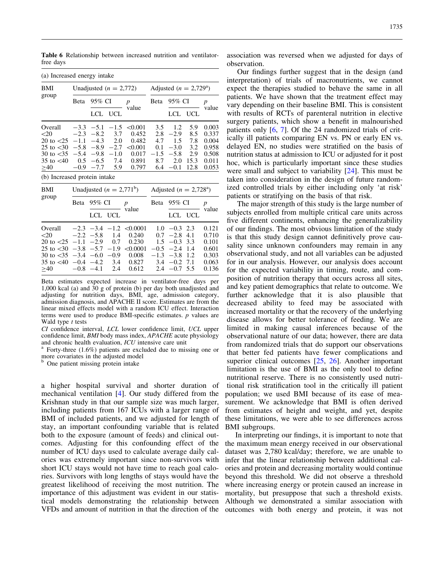<span id="page-7-0"></span>Table 6 Relationship between increased nutrition and ventilatorfree days

| (a) Increased energy intake                                                                    |                                                     |                                                                                              |                                                        |                                                                   |                                                     |                                                                    |                                                 |                                                             |
|------------------------------------------------------------------------------------------------|-----------------------------------------------------|----------------------------------------------------------------------------------------------|--------------------------------------------------------|-------------------------------------------------------------------|-----------------------------------------------------|--------------------------------------------------------------------|-------------------------------------------------|-------------------------------------------------------------|
| BMI                                                                                            |                                                     |                                                                                              | Unadjusted $(n = 2,772)$                               |                                                                   |                                                     | Adjusted ( $n = 2,729^{\circ}$ )                                   |                                                 |                                                             |
| group                                                                                          | Beta                                                | 95% CI                                                                                       |                                                        | $\boldsymbol{p}$                                                  | Beta                                                | 95% CI                                                             |                                                 | $\boldsymbol{p}$                                            |
|                                                                                                |                                                     | LCL.                                                                                         | <b>UCL</b>                                             | value                                                             |                                                     | LCL.                                                               | UCL                                             | value                                                       |
| Overall<br>< 20<br>20 to $\leq$ 25<br>25 to $<$ 30<br>30 to $<$ 35<br>35 to $<40$<br>$\geq 40$ | $-2.3$<br>$-1.1$<br>0.5<br>$-0.9$                   | $-3.3$ $-5.1$<br>$-8.2$<br>$-4.3$<br>$-5.8$ $-8.9$ $-2.7$<br>$-5.4 -9.8$<br>$-6.5$<br>$-7.7$ | $-1.5$<br>3.7<br>2.0<br>$-1.0$<br>7.4<br>5.9           | < 0.001<br>0.452<br>0.482<br>< 0.001<br>0.017<br>0.891<br>0.797   | 3.5<br>2.8<br>4.7<br>0.1<br>$-1.5$<br>8.7<br>6.4    | 1.2<br>$-2.9$<br>1.5<br>$-3.0$<br>$-5.8$<br>2.0<br>$-0.1$          | 5.9<br>8.5<br>7.8<br>3.2<br>2.9<br>15.3<br>12.8 | 0.003<br>0.337<br>0.004<br>0.958<br>0.508<br>0.011<br>0.053 |
| (b) Increased protein intake                                                                   |                                                     |                                                                                              |                                                        |                                                                   |                                                     |                                                                    |                                                 |                                                             |
| BMI                                                                                            | Unadjusted $(n = 2,771^b)$                          |                                                                                              |                                                        |                                                                   | Adjusted ( $n = 2,728^{\circ}$ )                    |                                                                    |                                                 |                                                             |
| group                                                                                          | 95% CI<br>Beta                                      |                                                                                              |                                                        | $\boldsymbol{p}$                                                  | 95% CI<br>Beta                                      |                                                                    |                                                 | $\boldsymbol{p}$<br>value                                   |
|                                                                                                | LCL UCL                                             |                                                                                              | value                                                  |                                                                   |                                                     |                                                                    | LCL UCL                                         |                                                             |
| Overall<br>$<$ 20<br>20 to $<$ 25<br>25 to $<$ 30<br>30 to $<$ 35<br>35 to $< 40$<br>>40       | $-2.3$<br>$-2.2 -5.8$<br>$-1.1$<br>$-0.4$<br>$-0.8$ | $-3.4$<br>$-2.9$<br>$-3.8$ $-5.7$<br>$-3.4 -6.0$<br>$-4.2$<br>$-4.1$                         | $-1.2$<br>1.4<br>0.7<br>$-1.9$<br>$-0.9$<br>3.4<br>2.4 | < 0.0001<br>0.240<br>0.230<br>< 0.0001<br>0.008<br>0.827<br>0.612 | 1.0<br>0.7<br>1.5<br>$-0.5$<br>$-1.3$<br>3.4<br>2.4 | $-0.3$<br>$-2.8$<br>$-0.3$<br>$-2.4$<br>$-3.8$<br>$-0.2$<br>$-0.7$ | 2.3<br>4.1<br>3.3<br>1.4<br>1.2<br>7.1<br>5.5   | 0.121<br>0.710<br>0.101<br>0.601<br>0.303<br>0.063<br>0.136 |

Beta estimates expected increase in ventilator-free days per 1,000 kcal (a) and 30 g of protein (b) per day both unadjusted and adjusting for nutrition days, BMI, age, admission category, admission diagnosis, and APACHE II score. Estimates are from the linear mixed effects model with a random ICU effect. Interaction terms were used to produce BMI-specific estimates. p values are Wald type  $t$  tests

CI confidence interval, LCL lower confidence limit, UCL upper confidence limit, BMI body mass index, APACHE acute physiology and chronic health evaluation, *ICU* intensive care unit  $\frac{a}{b}$  Forty-three (1.6%) patients are excluded due to missing one or

more covariates in the adjusted model<br> $\frac{b}{c}$  One patient missing material

One patient missing protein intake

a higher hospital survival and shorter duration of mechanical ventilation [[4](#page-8-0)]. Our study differed from the Krishnan study in that our sample size was much larger, including patients from 167 ICUs with a larger range of BMI of included patients, and we adjusted for length of stay, an important confounding variable that is related both to the exposure (amount of feeds) and clinical outcomes. Adjusting for this confounding effect of the number of ICU days used to calculate average daily calories was extremely important since non-survivors with short ICU stays would not have time to reach goal calories. Survivors with long lengths of stays would have the greatest likelihood of receiving the most nutrition. The importance of this adjustment was evident in our statistical models demonstrating the relationship between association was reversed when we adjusted for days of observation.

Our findings further suggest that in the design (and interpretation) of trials of macronutrients, we cannot expect the therapies studied to behave the same in all patients. We have shown that the treatment effect may vary depending on their baseline BMI. This is consistent with results of RCTs of parenteral nutrition in elective surgery patients, which show a benefit in malnourished patients only [\[6,](#page-8-0) [7](#page-8-0)]. Of the 24 randomized trials of critically ill patients comparing EN vs. PN or early EN vs. delayed EN, no studies were stratified on the basis of nutrition status at admission to ICU or adjusted for it post hoc, which is particularly important since these studies were small and subject to variability [\[24\]](#page-9-0). This must be taken into consideration in the design of future randomized controlled trials by either including only 'at risk' patients or stratifying on the basis of that risk.

The major strength of this study is the large number of subjects enrolled from multiple critical care units across five different continents, enhancing the generalizability of our findings. The most obvious limitation of the study is that this study design cannot definitively prove causality since unknown confounders may remain in any observational study, and not all variables can be adjusted for in our analysis. However, our analysis does account for the expected variability in timing, route, and composition of nutrition therapy that occurs across all sites, and key patient demographics that relate to outcome. We further acknowledge that it is also plausible that decreased ability to feed may be associated with increased mortality or that the recovery of the underlying disease allows for better tolerance of feeding. We are limited in making causal inferences because of the observational nature of our data; however, there are data from randomized trials that do support our observations that better fed patients have fewer complications and superior clinical outcomes [\[25,](#page-9-0) [26](#page-9-0)]. Another important limitation is the use of BMI as the only tool to define nutritional reserve. There is no consistently used nutritional risk stratification tool in the critically ill patient population; we used BMI because of its ease of measurement. We acknowledge that BMI is often derived from estimates of height and weight, and yet, despite these limitations, we were able to see differences across BMI subgroups.

VFDs and amount of nutrition in that the direction of the outcomes with both energy and protein, it was not In interpreting our findings, it is important to note that the maximum mean energy received in our observational dataset was 2,780 kcal/day; therefore, we are unable to infer that the linear relationship between additional calories and protein and decreasing mortality would continue beyond this threshold. We did not observe a threshold where increasing energy or protein caused an increase in mortality, but presuppose that such a threshold exists. Although we demonstrated a similar association with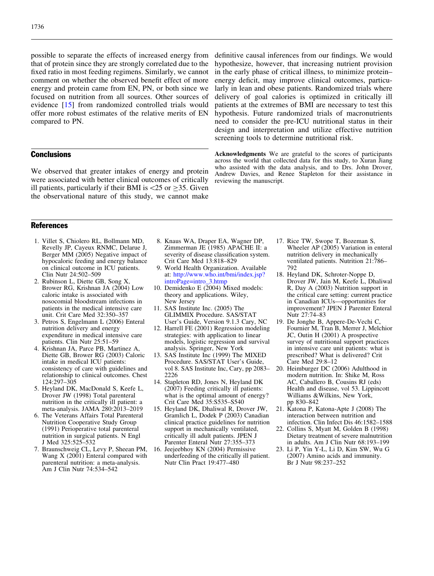<span id="page-8-0"></span>possible to separate the effects of increased energy from that of protein since they are strongly correlated due to the fixed ratio in most feeding regimens. Similarly, we cannot comment on whether the observed benefit effect of more energy and protein came from EN, PN, or both since we focused on nutrition from all sources. Other sources of evidence [15] from randomized controlled trials would offer more robust estimates of the relative merits of EN compared to PN.

# **Conclusions**

We observed that greater intakes of energy and protein were associated with better clinical outcomes of critically ill patients, particularly if their BMI is  $\langle 25 \text{ or } \geq 35$ . Given the observational nature of this study, we cannot make

definitive causal inferences from our findings. We would hypothesize, however, that increasing nutrient provision in the early phase of critical illness, to minimize protein– energy deficit, may improve clinical outcomes, particularly in lean and obese patients. Randomized trials where delivery of goal calories is optimized in critically ill patients at the extremes of BMI are necessary to test this hypothesis. Future randomized trials of macronutrients need to consider the pre-ICU nutritional status in their design and interpretation and utilize effective nutrition screening tools to determine nutritional risk.

Acknowledgments We are grateful to the scores of participants across the world that collected data for this study, to Xuran Jiang who assisted with the data analysis, and to Drs. John Drover, Andrew Davies, and Renee Stapleton for their assistance in reviewing the manuscript.

# **References**

- 1. Villet S, Chiolero RL, Bollmann MD, Revelly JP, Cayeux RNMC, Delarue J, Berger MM (2005) Negative impact of hypocaloric feeding and energy balance on clinical outcome in ICU patients. Clin Nutr 24:502–509
- 2. Rubinson L, Diette GB, Song X, Brower RG, Krishnan JA (2004) Low caloric intake is associated with nosocomial bloodstream infections in patients in the medical intensive care unit. Crit Care Med 32:350–357
- 3. Petros S, Engelmann L (2006) Enteral nutrition delivery and energy expenditure in medical intensive care patients. Clin Nutr 25:51–59
- 4. Krishnan JA, Parce PB, Martinez A, Diette GB, Brower RG (2003) Caloric intake in medical ICU patients: consistency of care with guidelines and relationship to clinical outcomes. Chest 124:297–305
- 5. Heyland DK, MacDonald S, Keefe L, Drover JW (1998) Total parenteral nutrition in the critically ill patient: a meta-analysis. JAMA 280:2013–2019
- 6. The Veterans Affairs Total Parenteral Nutrition Cooperative Study Group (1991) Perioperative total parenteral nutrition in surgical patients. N Engl J Med 325:525–532
- 7. Braunschweig CL, Levy P, Sheean PM, Wang X (2001) Enteral compared with parenteral nutrition: a meta-analysis. Am J Clin Nutr 74:534–542
- 8. Knaus WA, Draper EA, Wagner DP, Zimmerman JE (1985) APACHE II: a severity of disease classification system. Crit Care Med 13:818–829
- 9. World Health Organization. Available at: [http://www.who.int/bmi/index.jsp?](http://www.who.int/bmi/index.jsp?introPage=intro_3.htmp) [introPage=intro\\_3.htmp](http://www.who.int/bmi/index.jsp?introPage=intro_3.htmp)
- 10. Demidenko E (2004) Mixed models: theory and applications. Wiley, New Jersey
- 11. SAS Institute Inc. (2005) The GLIMMIX Procedure. SAS/STAT User's Guide, Version 9.1.3 Cary, NC
- 12. Harrell FE (2001) Regression modeling strategies: with application to linear models, logistic regression and survival analysis. Springer, New York
- 13. SAS Institute Inc (1999) The MIXED Procedure. SAS/STAT User's Guide, vol 8. SAS Institute Inc, Cary, pp 2083– 2226
- 14. Stapleton RD, Jones N, Heyland DK (2007) Feeding critically ill patients: what is the optimal amount of energy? Crit Care Med 35:S535–S540
- 15. Heyland DK, Dhaliwal R, Drover JW, Gramlich L, Dodek P (2003) Canadian clinical practice guidelines for nutrition support in mechanically ventilated, critically ill adult patients. JPEN J Parenter Enteral Nutr 27:355–373
- 16. Jeejeebhoy KN (2004) Permissive underfeeding of the critically ill patient. Nutr Clin Pract 19:477–480
- 17. Rice TW, Swope T, Bozeman S, Wheeler AP (2005) Variation in enteral nutrition delivery in mechanically ventilated patients. Nutrition 21:786– 792
- 18. Heyland DK, Schroter-Noppe D, Drover JW, Jain M, Keefe L, Dhaliwal R, Day A (2003) Nutrition support in the critical care setting: current practice in Canadian ICUs—opportunities for improvement? JPEN J Parenter Enteral Nutr 27:74–83
- 19. De Jonghe B, Appere-De-Vechi C, Fournier M, Tran B, Merrer J, Melchior JC, Outin H (2001) A prospective survey of nutritional support practices in intensive care unit patients: what is prescribed? What is delivered? Crit Care Med 29:8–12
- 20. Heimburger DC (2006) Adulthood in modern nutrition. In: Shike M, Ross AC, Caballero B, Cousins RJ (eds) Health and disease, vol 53. Lippincott Williams &Wilkins, New York, pp 830–842
- 21. Katona P, Katona-Apte J (2008) The interaction between nutrition and infection. Clin Infect Dis 46:1582–1588
- 22. Collins S, Myatt M, Golden B (1998) Dietary treatment of severe malnutrition in adults. Am J Clin Nutr 68:193–199
- 23. Li P, Yin Y-L, Li D, Kim SW, Wu G (2007) Amino acids and immunity. Br J Nutr 98:237–252